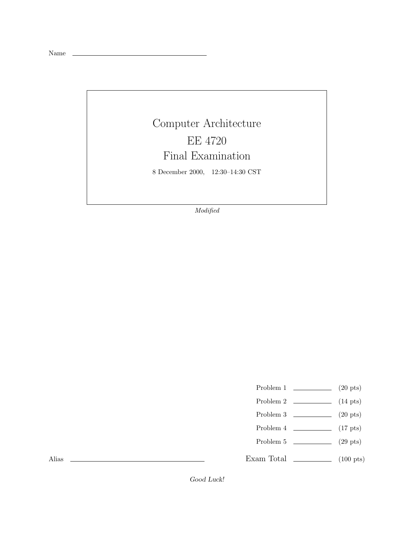Name

## Computer Architecture EE 4720 Final Examination

8 December 2000, 12:30–14:30 CST

*Modified*

- Problem 1  $\qquad \qquad (20 \text{ pts})$
- Problem 2 (14 pts)
- Problem 3  $\qquad \qquad (20 \text{ pts})$
- Problem  $4 \t\t(17 \text{ pts})$
- Problem 5 (29 pts)
- Exam Total \_\_\_\_\_\_\_\_\_\_\_\_\_ (100 pts)

Alias

Good Luck!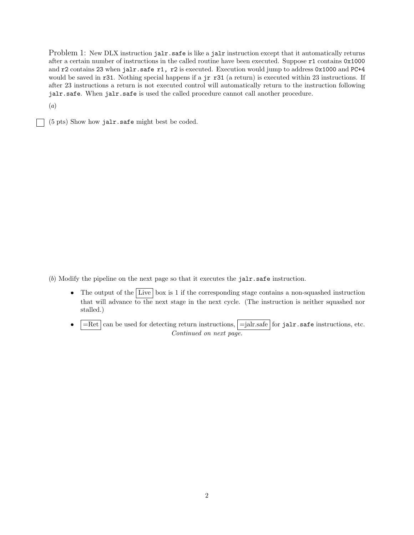Problem 1: New DLX instruction jalr.safe is like a jalr instruction except that it automatically returns after a certain number of instructions in the called routine have been executed. Suppose r1 contains 0x1000 and r2 contains 23 when jalr.safe r1, r2 is executed. Execution would jump to address 0x1000 and PC+4 would be saved in r31. Nothing special happens if a jr r31 (a return) is executed within 23 instructions. If after 23 instructions a return is not executed control will automatically return to the instruction following jalr.safe. When jalr.safe is used the called procedure cannot call another procedure.

(*a*)

(5 pts) Show how jalr.safe might best be coded.

(*b*) Modify the pipeline on the next page so that it executes the jalr.safe instruction.

- The output of the Live box is 1 if the corresponding stage contains a non-squashed instruction that will advance to the next stage in the next cycle. (The instruction is neither squashed nor stalled.)
- $=$ Ret can be used for detecting return instructions,  $=$ jalr.safe for jalr.safe instructions, etc. *Continued on next page.*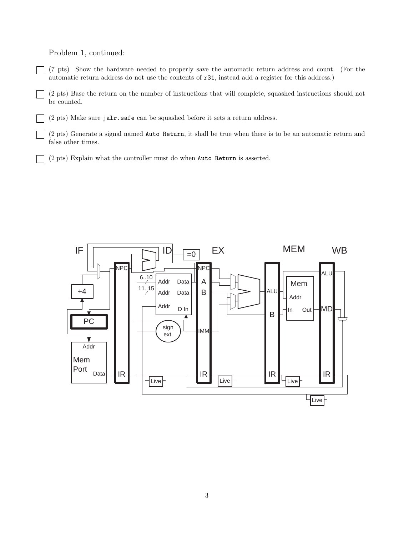## Problem 1, continued:

(7 pts) Show the hardware needed to properly save the automatic return address and count. (For the automatic return address do not use the contents of r31, instead add a register for this address.)

(2 pts) Base the return on the number of instructions that will complete, squashed instructions should not be counted.

(2 pts) Make sure jalr.safe can be squashed before it sets a return address.

(2 pts) Generate a signal named Auto Return, it shall be true when there is to be an automatic return and false other times.

(2 pts) Explain what the controller must do when Auto Return is asserted.

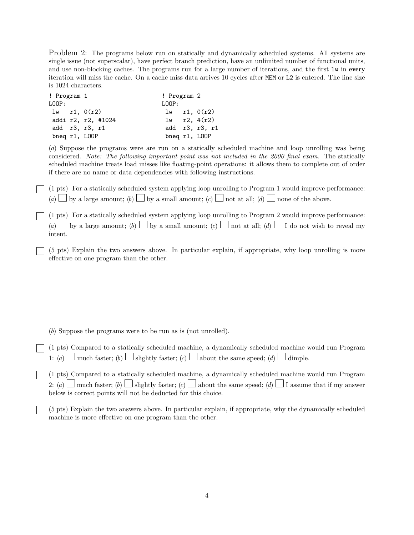Problem 2: The programs below run on statically and dynamically scheduled systems. All systems are single issue (not superscalar), have perfect branch prediction, have an unlimited number of functional units, and use non-blocking caches. The programs run for a large number of iterations, and the first lw in **every** iteration will miss the cache. On a cache miss data arrives 10 cycles after MEM or L2 is entered. The line size is 1024 characters.

| ! Program 1   |  |                    | ! Program 2   |                  |
|---------------|--|--------------------|---------------|------------------|
| LOOP:         |  |                    | LOOP:         |                  |
|               |  | $1w$ r1, $0(r2)$   |               | $1w$ r1, $0(r2)$ |
|               |  | addi r2, r2, #1024 |               | $1w$ r2, $4(r2)$ |
|               |  | add r3, r3, r1     |               | add r3, r3, r1   |
| bneq r1, LOOP |  |                    | bneq r1, LOOP |                  |

(*a*) Suppose the programs were are run on a statically scheduled machine and loop unrolling was being considered. *Note: The following important point was not included in the 2000 final exam.* The statically scheduled machine treats load misses like floating-point operations: it allows them to complete out of order if there are no name or data dependencies with following instructions.

(1 pts) For a statically scheduled system applying loop unrolling to Program 1 would improve performance:  $(a)$  by a large amount;  $(b)$  by a small amount;  $(c)$  ont at all;  $(d)$  one of the above.

(1 pts) For a statically scheduled system applying loop unrolling to Program 2 would improve performance: (*a*)  $\Box$  by a large amount; (*b*)  $\Box$  by a small amount; (*c*)  $\Box$  not at all; (*d*)  $\Box$  I do not wish to reveal my intent.

(5 pts) Explain the two answers above. In particular explain, if appropriate, why loop unrolling is more effective on one program than the other.

(*b*) Suppose the programs were to be run as is (not unrolled).

(1 pts) Compared to a statically scheduled machine, a dynamically scheduled machine would run Program 1: (*a*) much faster; (*b*) slightly faster; (*c*) about the same speed; (*d*) dimple.

(1 pts) Compared to a statically scheduled machine, a dynamically scheduled machine would run Program 2: (*a*) much faster; (*b*) slightly faster; (*c*) about the same speed; (*d*) I assume that if my answer below is correct points will not be deducted for this choice.

(5 pts) Explain the two answers above. In particular explain, if appropriate, why the dynamically scheduled machine is more effective on one program than the other.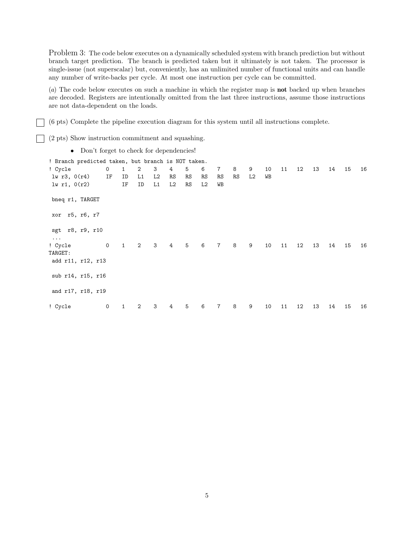Problem 3: The code below executes on a dynamically scheduled system with branch prediction but without branch target prediction. The branch is predicted taken but it ultimately is not taken. The processor is single-issue (not superscalar) but, conveniently, has an unlimited number of functional units and can handle any number of write-backs per cycle. At most one instruction per cycle can be committed.

(*a*) The code below executes on such a machine in which the register map is **not** backed up when branches are decoded. Registers are intentionally omitted from the last three instructions, assume those instructions are not data-dependent on the loads.

(6 pts) Complete the pipeline execution diagram for this system until all instructions complete.

(2 pts) Show instruction commitment and squashing.

| • Don't forget to check for dependencies!          |    |                                       |  |  |  |  |  |  |     |
|----------------------------------------------------|----|---------------------------------------|--|--|--|--|--|--|-----|
| ! Branch predicted taken, but branch is NOT taken. |    |                                       |  |  |  |  |  |  |     |
| ! Cvcle                                            |    | 0 1 2 3 4 5 6 7 8 9 10 11 12 13 14 15 |  |  |  |  |  |  | -16 |
| lw r3. O(r4)                                       | IF | ID L1 L2 RS RS RS RS RS L2            |  |  |  |  |  |  |     |

lw r1, 0(r2) IF ID L1 L2 RS L2 WB bneq r1, TARGET xor r5, r6, r7 sgt r8, r9, r10 ... ! Cycle 0 1 2 3 4 5 6 7 8 9 10 11 12 13 14 15 16 TARGET: add r11, r12, r13 sub r14, r15, r16 and r17, r18, r19 ! Cycle 0 1 2 3 4 5 6 7 8 9 10 11 12 13 14 15 16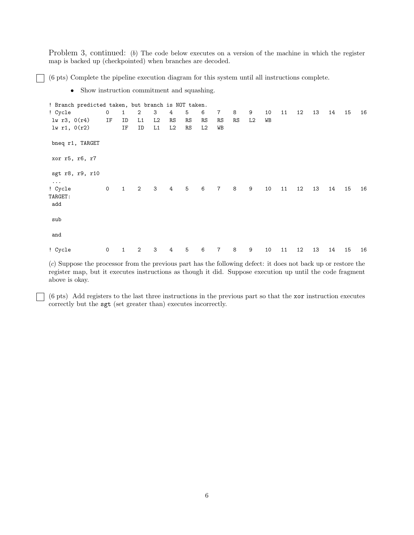Problem 3, continued: (*b*) The code below executes on a version of the machine in which the register map is backed up (checkpointed) when branches are decoded.

(6 pts) Complete the pipeline execution diagram for this system until all instructions complete.

• Show instruction commitment and squashing.

! Branch predicted taken, but branch is NOT taken. ! Cycle 0 1 2 3 4 5 6 7 8 9 10 11 12 13 14 15 16 lw r3, 0(r4) IF ID L1 L2 RS RS RS RS RS L2 WB lw r1, 0(r2) IF ID L1 L2 RS L2 WB bneq r1, TARGET xor r5, r6, r7 sgt r8, r9, r10 ... ! Cycle 0 1 2 3 4 5 6 7 8 9 10 11 12 13 14 15 16 TARGET: add sub and ! Cycle 0 1 2 3 4 5 6 7 8 9 10 11 12 13 14 15 16

(*c*) Suppose the processor from the previous part has the following defect: it does not back up or restore the register map, but it executes instructions as though it did. Suppose execution up until the code fragment above is okay.

(6 pts) Add registers to the last three instructions in the previous part so that the xor instruction executes correctly but the sgt (set greater than) executes incorrectly.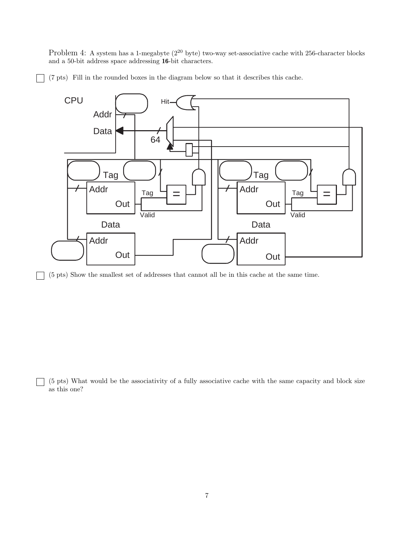Problem 4: A system has a 1-megabyte ( $2^{20}$  byte) two-way set-associative cache with 256-character blocks and a 50-bit address space addressing **16**-bit characters.

(7 pts) Fill in the rounded boxes in the diagram below so that it describes this cache.



(5 pts) Show the smallest set of addresses that cannot all be in this cache at the same time.

 $\mathsf{I}$  $\overline{\phantom{0}}$ 

 $\mathbf{L}$ 

(5 pts) What would be the associativity of a fully associative cache with the same capacity and block size as this one?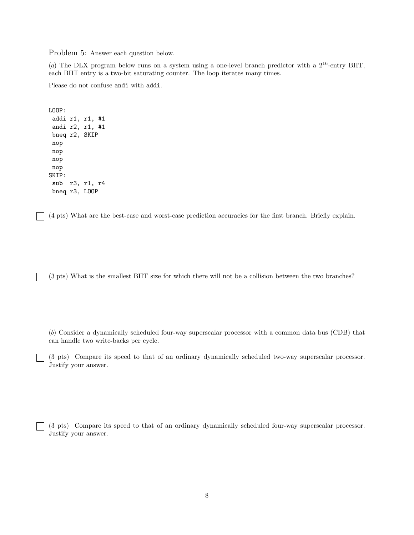Problem 5: Answer each question below.

(*a*) The DLX program below runs on a system using a one-level branch predictor with a 2<sup>16</sup>-entry BHT, each BHT entry is a two-bit saturating counter. The loop iterates many times.

Please do not confuse andi with addi.

```
LOOP:
 addi r1, r1, #1
andi r2, r1, #1
bneq r2, SKIP
nop
nop
nop
nop
SKIP:
sub r3, r1, r4
bneq r3, LOOP
```
(4 pts) What are the best-case and worst-case prediction accuracies for the first branch. Briefly explain.

(3 pts) What is the smallest BHT size for which there will not be a collision between the two branches?

(*b*) Consider a dynamically scheduled four-way superscalar processor with a common data bus (CDB) that can handle two write-backs per cycle.

(3 pts) Compare its speed to that of an ordinary dynamically scheduled two-way superscalar processor. Justify your answer.

(3 pts) Compare its speed to that of an ordinary dynamically scheduled four-way superscalar processor. Justify your answer.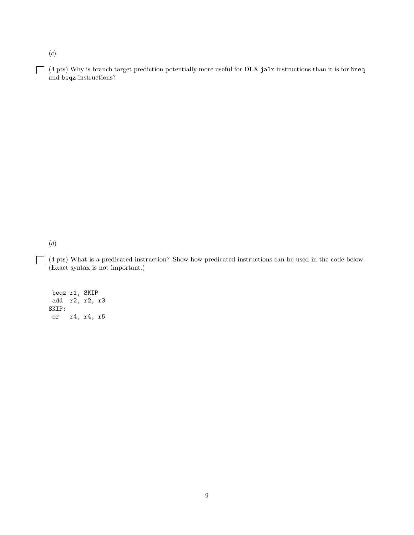(*c*)

(4 pts) Why is branch target prediction potentially more useful for DLX jalr instructions than it is for bneq and beqz instructions?

(*d*)

 $\Box$ 

(4 pts) What is a predicated instruction? Show how predicated instructions can be used in the code below. (Exact syntax is not important.)

beqz r1, SKIP add r2, r2, r3 SKIP: or r4, r4, r5